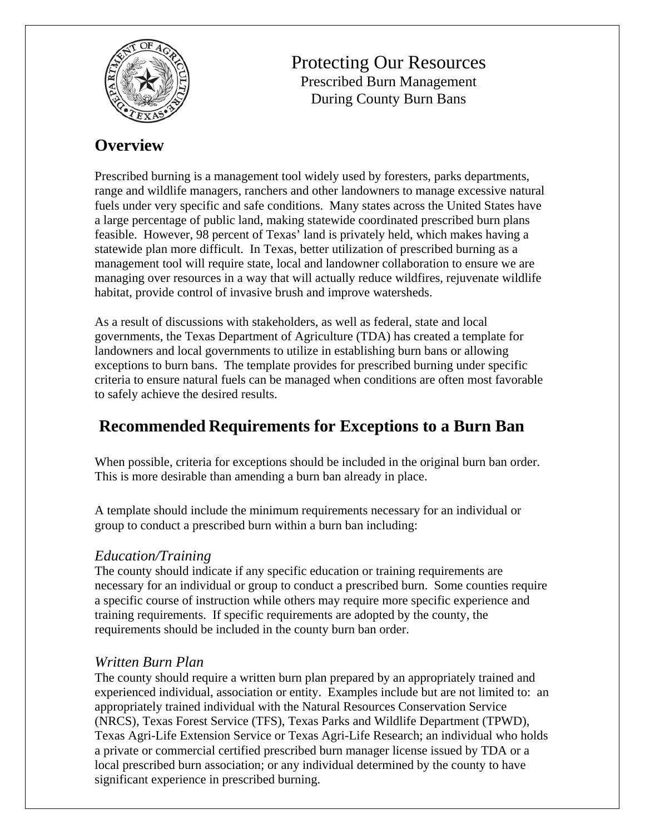

Protecting Our Resources Prescribed Burn Management During County Burn Bans

# **Overview**

Prescribed burning is a management tool widely used by foresters, parks departments, range and wildlife managers, ranchers and other landowners to manage excessive natural fuels under very specific and safe conditions. Many states across the United States have a large percentage of public land, making statewide coordinated prescribed burn plans feasible. However, 98 percent of Texas' land is privately held, which makes having a statewide plan more difficult. In Texas, better utilization of prescribed burning as a management tool will require state, local and landowner collaboration to ensure we are managing over resources in a way that will actually reduce wildfires, rejuvenate wildlife habitat, provide control of invasive brush and improve watersheds.

As a result of discussions with stakeholders, as well as federal, state and local governments, the Texas Department of Agriculture (TDA) has created a template for landowners and local governments to utilize in establishing burn bans or allowing exceptions to burn bans. The template provides for prescribed burning under specific criteria to ensure natural fuels can be managed when conditions are often most favorable to safely achieve the desired results.

# **Recommended Requirements for Exceptions to a Burn Ban**

When possible, criteria for exceptions should be included in the original burn ban order. This is more desirable than amending a burn ban already in place.

A template should include the minimum requirements necessary for an individual or group to conduct a prescribed burn within a burn ban including:

### *Education/Training*

The county should indicate if any specific education or training requirements are necessary for an individual or group to conduct a prescribed burn. Some counties require a specific course of instruction while others may require more specific experience and training requirements. If specific requirements are adopted by the county, the requirements should be included in the county burn ban order.

# *Written Burn Plan*

The county should require a written burn plan prepared by an appropriately trained and experienced individual, association or entity. Examples include but are not limited to: an appropriately trained individual with the Natural Resources Conservation Service (NRCS), Texas Forest Service (TFS), Texas Parks and Wildlife Department (TPWD), Texas Agri-Life Extension Service or Texas Agri-Life Research; an individual who holds a private or commercial certified prescribed burn manager license issued by TDA or a local prescribed burn association; or any individual determined by the county to have significant experience in prescribed burning.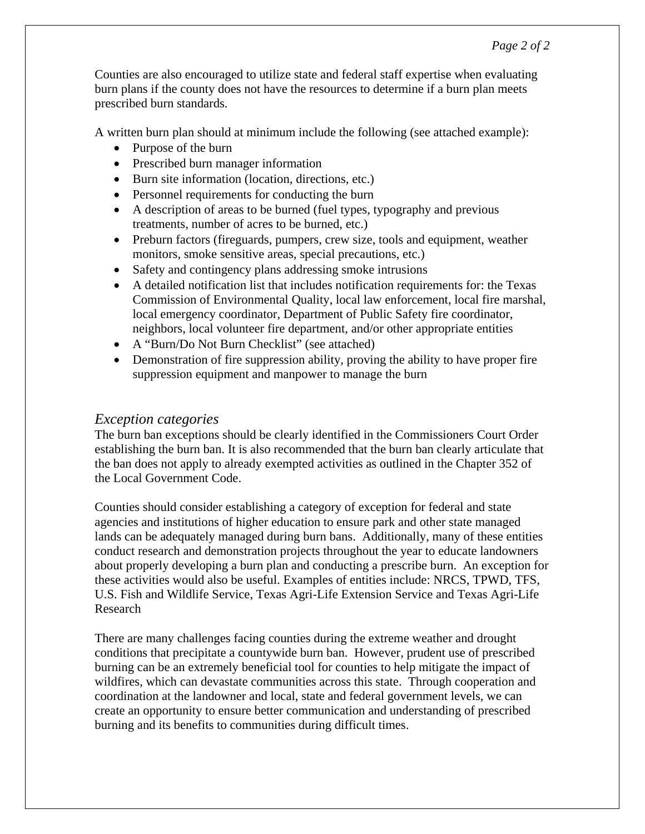Counties are also encouraged to utilize state and federal staff expertise when evaluating burn plans if the county does not have the resources to determine if a burn plan meets prescribed burn standards.

A written burn plan should at minimum include the following (see attached example):

- Purpose of the burn
- Prescribed burn manager information
- Burn site information (location, directions, etc.)
- Personnel requirements for conducting the burn
- A description of areas to be burned (fuel types, typography and previous treatments, number of acres to be burned, etc.)
- Preburn factors (fireguards, pumpers, crew size, tools and equipment, weather monitors, smoke sensitive areas, special precautions, etc.)
- Safety and contingency plans addressing smoke intrusions
- A detailed notification list that includes notification requirements for: the Texas Commission of Environmental Quality, local law enforcement, local fire marshal, local emergency coordinator, Department of Public Safety fire coordinator, neighbors, local volunteer fire department, and/or other appropriate entities
- A "Burn/Do Not Burn Checklist" (see attached)
- Demonstration of fire suppression ability, proving the ability to have proper fire suppression equipment and manpower to manage the burn

#### *Exception categories*

The burn ban exceptions should be clearly identified in the Commissioners Court Order establishing the burn ban. It is also recommended that the burn ban clearly articulate that the ban does not apply to already exempted activities as outlined in the Chapter 352 of the Local Government Code.

Counties should consider establishing a category of exception for federal and state agencies and institutions of higher education to ensure park and other state managed lands can be adequately managed during burn bans. Additionally, many of these entities conduct research and demonstration projects throughout the year to educate landowners about properly developing a burn plan and conducting a prescribe burn. An exception for these activities would also be useful. Examples of entities include: NRCS, TPWD, TFS, U.S. Fish and Wildlife Service, Texas Agri-Life Extension Service and Texas Agri-Life Research

There are many challenges facing counties during the extreme weather and drought conditions that precipitate a countywide burn ban. However, prudent use of prescribed burning can be an extremely beneficial tool for counties to help mitigate the impact of wildfires, which can devastate communities across this state. Through cooperation and coordination at the landowner and local, state and federal government levels, we can create an opportunity to ensure better communication and understanding of prescribed burning and its benefits to communities during difficult times.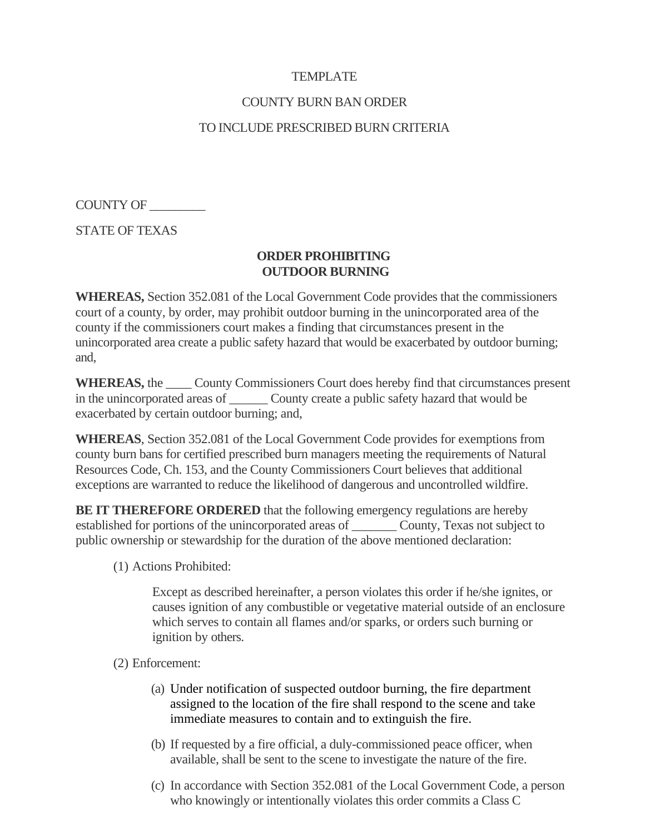### **TEMPLATE**

#### COUNTY BURN BAN ORDER

#### TO INCLUDE PRESCRIBED BURN CRITERIA

COUNTY OF \_\_\_\_\_\_\_\_\_

STATE OF TEXAS

#### **ORDER PROHIBITING OUTDOOR BURNING**

**WHEREAS,** Section 352.081 of the Local Government Code provides that the commissioners court of a county, by order, may prohibit outdoor burning in the unincorporated area of the county if the commissioners court makes a finding that circumstances present in the unincorporated area create a public safety hazard that would be exacerbated by outdoor burning; and,

**WHEREAS,** the \_\_\_\_ County Commissioners Court does hereby find that circumstances present in the unincorporated areas of \_\_\_\_\_\_\_\_ County create a public safety hazard that would be exacerbated by certain outdoor burning; and,

**WHEREAS**, Section 352.081 of the Local Government Code provides for exemptions from county burn bans for certified prescribed burn managers meeting the requirements of Natural Resources Code, Ch. 153, and the County Commissioners Court believes that additional exceptions are warranted to reduce the likelihood of dangerous and uncontrolled wildfire.

**BE IT THEREFORE ORDERED** that the following emergency regulations are hereby established for portions of the unincorporated areas of \_\_\_\_\_\_\_ County, Texas not subject to public ownership or stewardship for the duration of the above mentioned declaration:

(1) Actions Prohibited:

Except as described hereinafter, a person violates this order if he/she ignites, or causes ignition of any combustible or vegetative material outside of an enclosure which serves to contain all flames and/or sparks, or orders such burning or ignition by others.

- (2) Enforcement:
	- (a) Under notification of suspected outdoor burning, the fire department assigned to the location of the fire shall respond to the scene and take immediate measures to contain and to extinguish the fire.
	- (b) If requested by a fire official, a duly-commissioned peace officer, when available, shall be sent to the scene to investigate the nature of the fire.
	- (c) In accordance with Section 352.081 of the Local Government Code, a person who knowingly or intentionally violates this order commits a Class C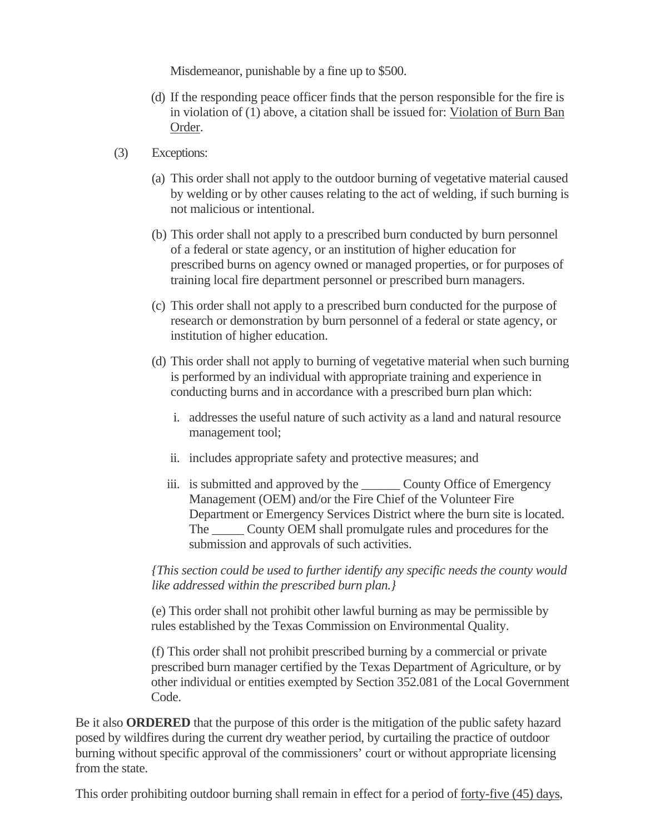Misdemeanor, punishable by a fine up to \$500.

- (d) If the responding peace officer finds that the person responsible for the fire is in violation of (1) above, a citation shall be issued for: Violation of Burn Ban Order.
- (3) Exceptions:
	- (a) This order shall not apply to the outdoor burning of vegetative material caused by welding or by other causes relating to the act of welding, if such burning is not malicious or intentional.
	- (b) This order shall not apply to a prescribed burn conducted by burn personnel of a federal or state agency, or an institution of higher education for prescribed burns on agency owned or managed properties, or for purposes of training local fire department personnel or prescribed burn managers.
	- (c) This order shall not apply to a prescribed burn conducted for the purpose of research or demonstration by burn personnel of a federal or state agency, or institution of higher education.
	- (d) This order shall not apply to burning of vegetative material when such burning is performed by an individual with appropriate training and experience in conducting burns and in accordance with a prescribed burn plan which:
		- i. addresses the useful nature of such activity as a land and natural resource management tool;
		- ii. includes appropriate safety and protective measures; and
		- iii. is submitted and approved by the \_\_\_\_\_\_ County Office of Emergency Management (OEM) and/or the Fire Chief of the Volunteer Fire Department or Emergency Services District where the burn site is located. The \_\_\_\_\_ County OEM shall promulgate rules and procedures for the submission and approvals of such activities.

*{This section could be used to further identify any specific needs the county would like addressed within the prescribed burn plan.}* 

 (e) This order shall not prohibit other lawful burning as may be permissible by rules established by the Texas Commission on Environmental Quality.

 (f) This order shall not prohibit prescribed burning by a commercial or private prescribed burn manager certified by the Texas Department of Agriculture, or by other individual or entities exempted by Section 352.081 of the Local Government Code.

Be it also **ORDERED** that the purpose of this order is the mitigation of the public safety hazard posed by wildfires during the current dry weather period, by curtailing the practice of outdoor burning without specific approval of the commissioners' court or without appropriate licensing from the state.

This order prohibiting outdoor burning shall remain in effect for a period of forty-five (45) days,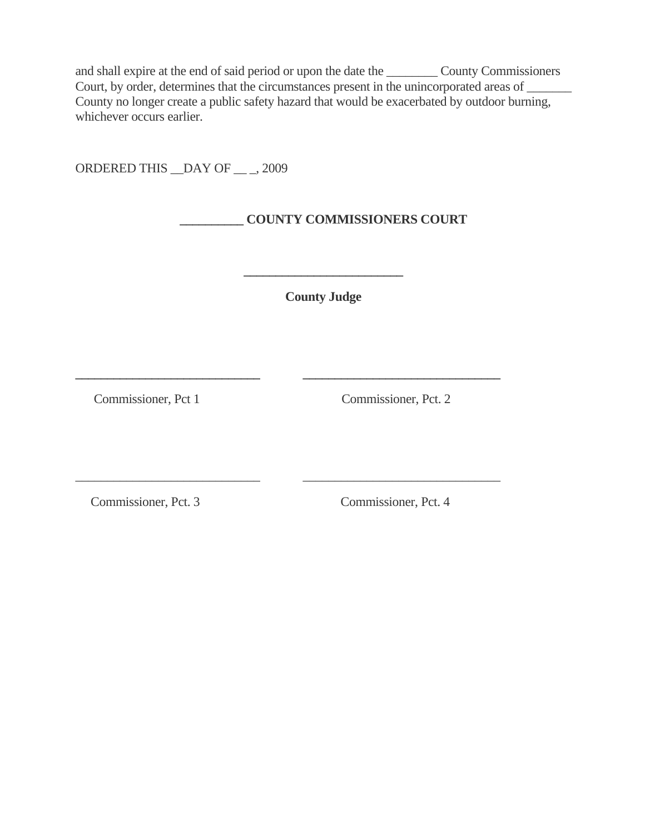and shall expire at the end of said period or upon the date the \_\_\_\_\_\_\_\_ County Commissioners Court, by order, determines that the circumstances present in the unincorporated areas of County no longer create a public safety hazard that would be exacerbated by outdoor burning, whichever occurs earlier.

ORDERED THIS \_\_DAY OF \_\_ \_, 2009

# **\_\_\_\_\_\_\_\_\_\_ COUNTY COMMISSIONERS COURT**

**County Judge** 

**\_\_\_\_\_\_\_\_\_\_\_\_\_\_\_\_\_\_\_\_\_\_\_\_\_\_\_\_\_ \_\_\_\_\_\_\_\_\_\_\_\_\_\_\_\_\_\_\_\_\_\_\_\_\_\_\_\_\_\_\_** 

\_\_\_\_\_\_\_\_\_\_\_\_\_\_\_\_\_\_\_\_\_\_\_\_\_\_\_\_\_ \_\_\_\_\_\_\_\_\_\_\_\_\_\_\_\_\_\_\_\_\_\_\_\_\_\_\_\_\_\_\_

**\_\_\_\_\_\_\_\_\_\_\_\_\_\_\_\_\_\_\_\_\_\_\_\_\_** 

Commissioner, Pct 1 Commissioner, Pct. 2

Commissioner, Pct. 3 Commissioner, Pct. 4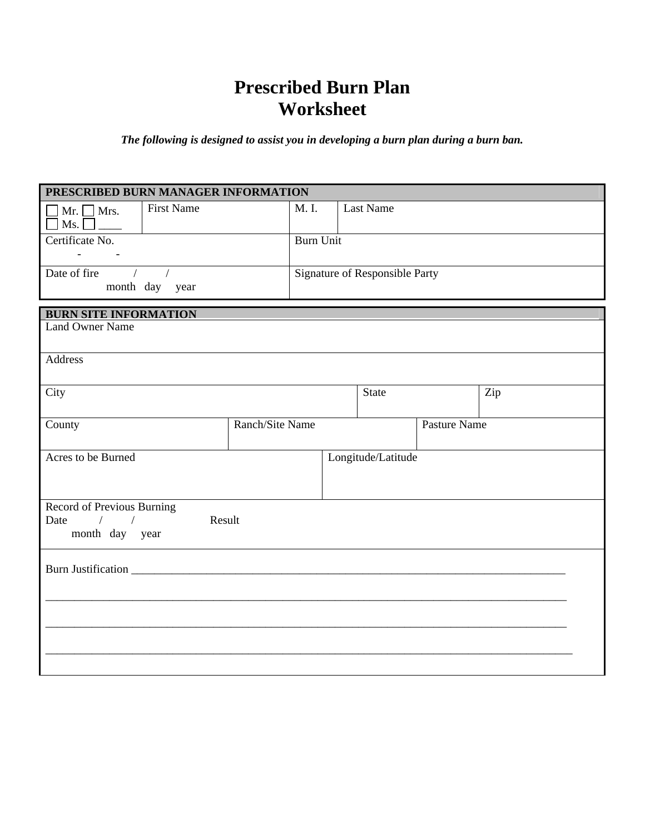# **Prescribed Burn Plan Worksheet**

*The following is designed to assist you in developing a burn plan during a burn ban.* 

| PRESCRIBED BURN MANAGER INFORMATION                         |                 |       |                                |                    |              |     |
|-------------------------------------------------------------|-----------------|-------|--------------------------------|--------------------|--------------|-----|
| <b>First Name</b><br>$Mr. \Box Mrs.$<br>Ms.<br>$\mathsf{L}$ |                 | M. I. |                                | <b>Last Name</b>   |              |     |
| Certificate No.                                             |                 |       | <b>Burn Unit</b>               |                    |              |     |
| $\omega_{\rm{max}}=0.01$ and $\omega_{\rm{max}}$            |                 |       |                                |                    |              |     |
| Date of fire                                                |                 |       | Signature of Responsible Party |                    |              |     |
| month day year                                              |                 |       |                                |                    |              |     |
| <b>BURN SITE INFORMATION</b>                                |                 |       |                                |                    |              |     |
| <b>Land Owner Name</b>                                      |                 |       |                                |                    |              |     |
|                                                             |                 |       |                                |                    |              |     |
| Address                                                     |                 |       |                                |                    |              |     |
| City                                                        |                 |       |                                | <b>State</b>       |              | Zip |
|                                                             |                 |       |                                |                    |              |     |
| County                                                      | Ranch/Site Name |       |                                |                    | Pasture Name |     |
| Acres to be Burned                                          |                 |       |                                | Longitude/Latitude |              |     |
|                                                             |                 |       |                                |                    |              |     |
|                                                             |                 |       |                                |                    |              |     |
| Record of Previous Burning                                  |                 |       |                                |                    |              |     |
| Date<br>$\prime$<br>$\frac{1}{2}$<br>month day year         | Result          |       |                                |                    |              |     |
|                                                             |                 |       |                                |                    |              |     |
|                                                             |                 |       |                                |                    |              |     |
|                                                             |                 |       |                                |                    |              |     |
|                                                             |                 |       |                                |                    |              |     |
|                                                             |                 |       |                                |                    |              |     |
|                                                             |                 |       |                                |                    |              |     |
|                                                             |                 |       |                                |                    |              |     |
|                                                             |                 |       |                                |                    |              |     |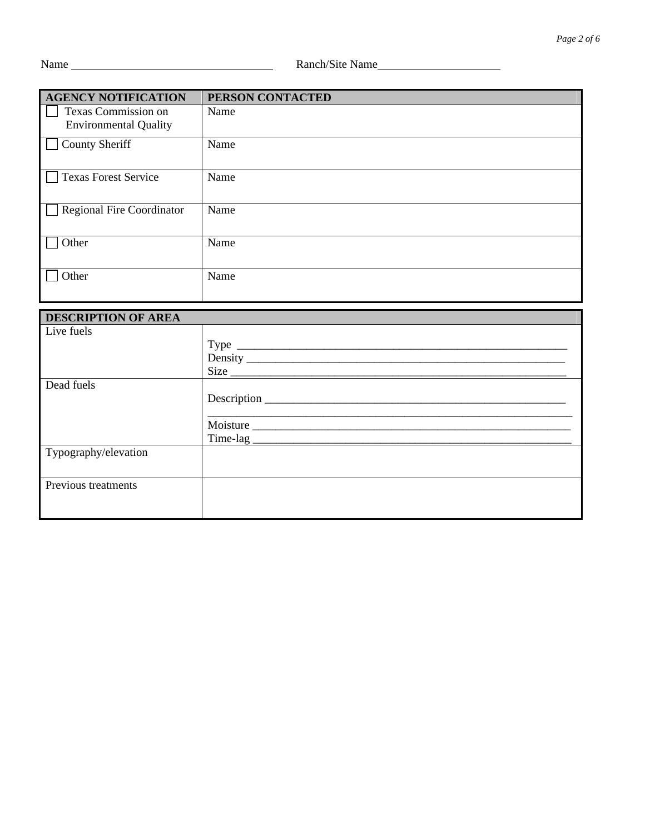| <b>AGENCY NOTIFICATION</b>                          | PERSON CONTACTED |
|-----------------------------------------------------|------------------|
| Texas Commission on<br><b>Environmental Quality</b> | Name             |
| <b>County Sheriff</b>                               | Name             |
| <b>Texas Forest Service</b>                         | Name             |
| <b>Regional Fire Coordinator</b>                    | Name             |
| Other                                               | Name             |
| Other                                               | Name             |

| <b>DESCRIPTION OF AREA</b> |          |
|----------------------------|----------|
| Live fuels                 |          |
|                            |          |
|                            |          |
|                            |          |
| Dead fuels                 |          |
|                            |          |
|                            |          |
|                            | Moisture |
|                            |          |
| Typography/elevation       |          |
|                            |          |
| Previous treatments        |          |
|                            |          |
|                            |          |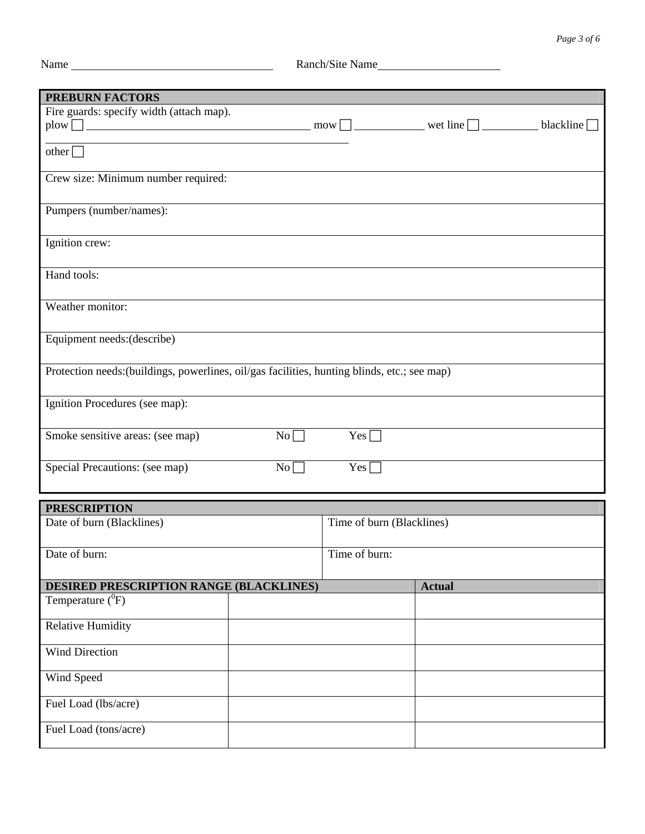| ан |
|----|
|    |
|    |

| <b>PREBURN FACTORS</b>                                                                       |                           |
|----------------------------------------------------------------------------------------------|---------------------------|
|                                                                                              |                           |
| Fire guards: specify width (attach map).                                                     |                           |
|                                                                                              |                           |
|                                                                                              |                           |
| $other \Box$                                                                                 |                           |
|                                                                                              |                           |
| Crew size: Minimum number required:                                                          |                           |
|                                                                                              |                           |
| Pumpers (number/names):                                                                      |                           |
|                                                                                              |                           |
|                                                                                              |                           |
| Ignition crew:                                                                               |                           |
|                                                                                              |                           |
| Hand tools:                                                                                  |                           |
|                                                                                              |                           |
|                                                                                              |                           |
| Weather monitor:                                                                             |                           |
|                                                                                              |                           |
|                                                                                              |                           |
| Equipment needs: (describe)                                                                  |                           |
|                                                                                              |                           |
| Protection needs: (buildings, powerlines, oil/gas facilities, hunting blinds, etc.; see map) |                           |
|                                                                                              |                           |
|                                                                                              |                           |
| Ignition Procedures (see map):                                                               |                           |
|                                                                                              |                           |
| Smoke sensitive areas: (see map)<br>$No \Box$                                                | $Yes \Box$                |
|                                                                                              |                           |
|                                                                                              |                           |
| Special Precautions: (see map)<br>$No \Box$                                                  | $Yes \Box$                |
|                                                                                              |                           |
|                                                                                              |                           |
| <b>PRESCRIPTION</b>                                                                          |                           |
| Date of burn (Blacklines)                                                                    | Time of burn (Blacklines) |
|                                                                                              |                           |
|                                                                                              |                           |
| Date of burn:                                                                                | Time of burn:             |
|                                                                                              |                           |
| <b>DESIRED PRESCRIPTION RANGE (BLACKLINES)</b>                                               | <b>Actual</b>             |
| Temperature ( <sup>0</sup> F)                                                                |                           |
|                                                                                              |                           |
| <b>Relative Humidity</b>                                                                     |                           |
|                                                                                              |                           |
| <b>Wind Direction</b>                                                                        |                           |
|                                                                                              |                           |
|                                                                                              |                           |
| Wind Speed                                                                                   |                           |
|                                                                                              |                           |
| Fuel Load (lbs/acre)                                                                         |                           |
|                                                                                              |                           |
| Fuel Load (tons/acre)                                                                        |                           |
|                                                                                              |                           |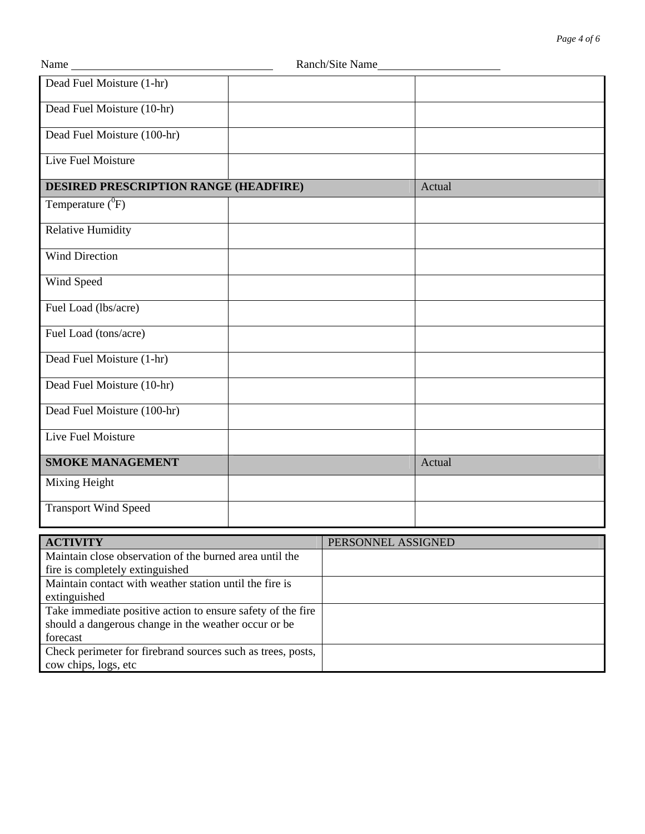| Name                                         | Ranch/Site Name |        |
|----------------------------------------------|-----------------|--------|
| Dead Fuel Moisture (1-hr)                    |                 |        |
| Dead Fuel Moisture (10-hr)                   |                 |        |
| Dead Fuel Moisture (100-hr)                  |                 |        |
| <b>Live Fuel Moisture</b>                    |                 |        |
| <b>DESIRED PRESCRIPTION RANGE (HEADFIRE)</b> |                 | Actual |
| Temperature $(^{0}F)$                        |                 |        |
| <b>Relative Humidity</b>                     |                 |        |
| <b>Wind Direction</b>                        |                 |        |
| Wind Speed                                   |                 |        |
| Fuel Load (lbs/acre)                         |                 |        |
| Fuel Load (tons/acre)                        |                 |        |
| Dead Fuel Moisture (1-hr)                    |                 |        |
| Dead Fuel Moisture (10-hr)                   |                 |        |
| Dead Fuel Moisture (100-hr)                  |                 |        |
| <b>Live Fuel Moisture</b>                    |                 |        |
| <b>SMOKE MANAGEMENT</b>                      |                 | Actual |
| Mixing Height                                |                 |        |
| <b>Transport Wind Speed</b>                  |                 |        |

| <b>ACTIVITY</b>                                             | PERSONNEL ASSIGNED |
|-------------------------------------------------------------|--------------------|
| Maintain close observation of the burned area until the     |                    |
| fire is completely extinguished                             |                    |
| Maintain contact with weather station until the fire is     |                    |
| extinguished                                                |                    |
| Take immediate positive action to ensure safety of the fire |                    |
| should a dangerous change in the weather occur or be        |                    |
| forecast                                                    |                    |
| Check perimeter for firebrand sources such as trees, posts, |                    |
| cow chips, logs, etc                                        |                    |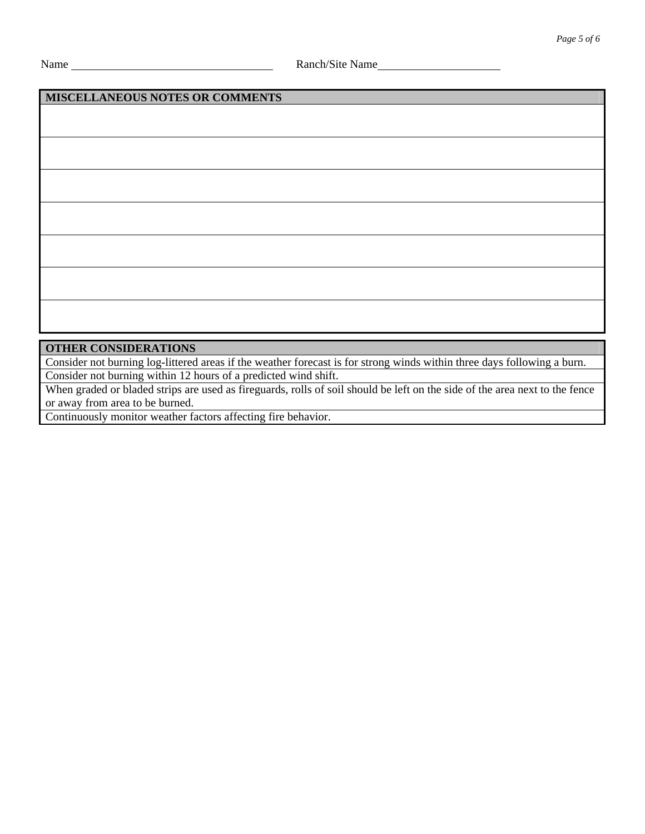## **MISCELLANEOUS NOTES OR COMMENTS**

| <b>OFFICE COMPLETE LEIOMA</b> |  |  |
|-------------------------------|--|--|

**OTHER CONSIDERATIONS**  Consider not burning log-littered areas if the weather forecast is for strong winds within three days following a burn.

Consider not burning within 12 hours of a predicted wind shift.

When graded or bladed strips are used as fireguards, rolls of soil should be left on the side of the area next to the fence or away from area to be burned.

Continuously monitor weather factors affecting fire behavior.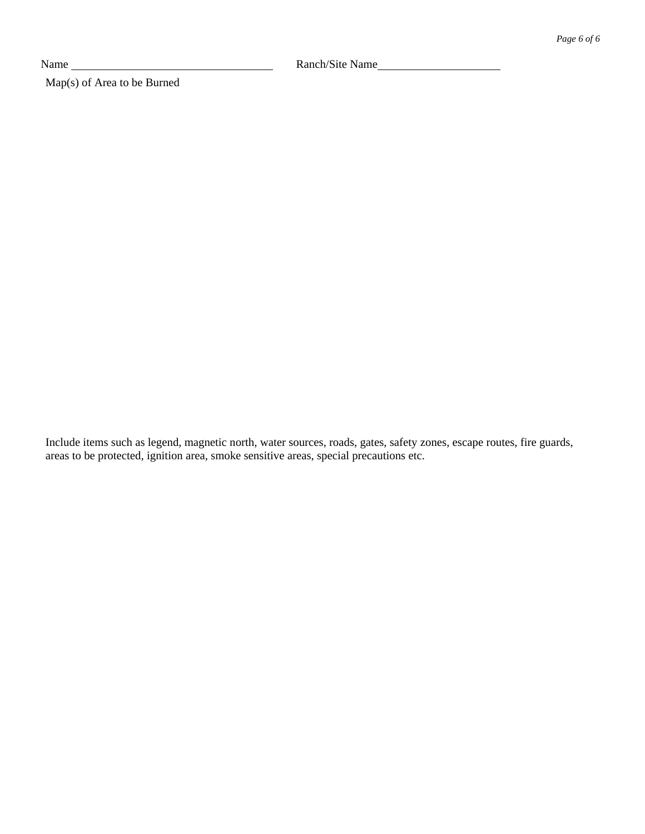Map(s) of Area to be Burned

Include items such as legend, magnetic north, water sources, roads, gates, safety zones, escape routes, fire guards, areas to be protected, ignition area, smoke sensitive areas, special precautions etc.